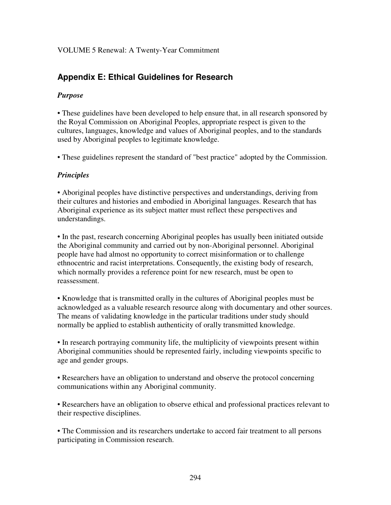### VOLUME 5 Renewal: A Twenty-Year Commitment

# **Appendix E: Ethical Guidelines for Research**

#### *Purpose*

• These guidelines have been developed to help ensure that, in all research sponsored by the Royal Commission on Aboriginal Peoples, appropriate respect is given to the cultures, languages, knowledge and values of Aboriginal peoples, and to the standards used by Aboriginal peoples to legitimate knowledge.

• These guidelines represent the standard of "best practice" adopted by the Commission.

### *Principles*

• Aboriginal peoples have distinctive perspectives and understandings, deriving from their cultures and histories and embodied in Aboriginal languages. Research that has Aboriginal experience as its subject matter must reflect these perspectives and understandings.

• In the past, research concerning Aboriginal peoples has usually been initiated outside the Aboriginal community and carried out by non-Aboriginal personnel. Aboriginal people have had almost no opportunity to correct misinformation or to challenge ethnocentric and racist interpretations. Consequently, the existing body of research, which normally provides a reference point for new research, must be open to reassessment.

• Knowledge that is transmitted orally in the cultures of Aboriginal peoples must be acknowledged as a valuable research resource along with documentary and other sources. The means of validating knowledge in the particular traditions under study should normally be applied to establish authenticity of orally transmitted knowledge.

• In research portraying community life, the multiplicity of viewpoints present within Aboriginal communities should be represented fairly, including viewpoints specific to age and gender groups.

• Researchers have an obligation to understand and observe the protocol concerning communications within any Aboriginal community.

• Researchers have an obligation to observe ethical and professional practices relevant to their respective disciplines.

• The Commission and its researchers undertake to accord fair treatment to all persons participating in Commission research.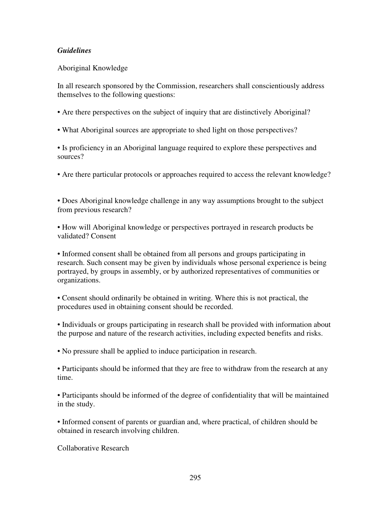# *Guidelines*

Aboriginal Knowledge

In all research sponsored by the Commission, researchers shall conscientiously address themselves to the following questions:

- Are there perspectives on the subject of inquiry that are distinctively Aboriginal?
- What Aboriginal sources are appropriate to shed light on those perspectives?

• Is proficiency in an Aboriginal language required to explore these perspectives and sources?

• Are there particular protocols or approaches required to access the relevant knowledge?

• Does Aboriginal knowledge challenge in any way assumptions brought to the subject from previous research?

• How will Aboriginal knowledge or perspectives portrayed in research products be validated? Consent

• Informed consent shall be obtained from all persons and groups participating in research. Such consent may be given by individuals whose personal experience is being portrayed, by groups in assembly, or by authorized representatives of communities or organizations.

• Consent should ordinarily be obtained in writing. Where this is not practical, the procedures used in obtaining consent should be recorded.

• Individuals or groups participating in research shall be provided with information about the purpose and nature of the research activities, including expected benefits and risks.

• No pressure shall be applied to induce participation in research.

• Participants should be informed that they are free to withdraw from the research at any time.

• Participants should be informed of the degree of confidentiality that will be maintained in the study.

• Informed consent of parents or guardian and, where practical, of children should be obtained in research involving children.

Collaborative Research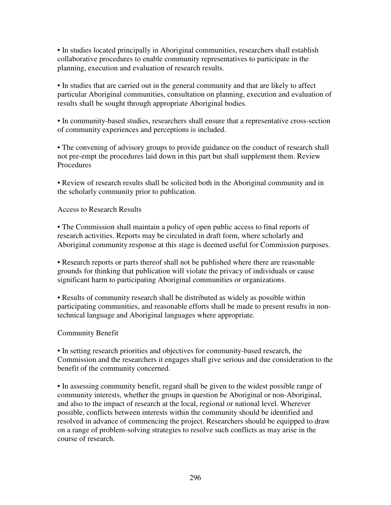• In studies located principally in Aboriginal communities, researchers shall establish collaborative procedures to enable community representatives to participate in the planning, execution and evaluation of research results.

• In studies that are carried out in the general community and that are likely to affect particular Aboriginal communities, consultation on planning, execution and evaluation of results shall be sought through appropriate Aboriginal bodies.

• In community-based studies, researchers shall ensure that a representative cross-section of community experiences and perceptions is included.

• The convening of advisory groups to provide guidance on the conduct of research shall not pre-empt the procedures laid down in this part but shall supplement them. Review Procedures

• Review of research results shall be solicited both in the Aboriginal community and in the scholarly community prior to publication.

Access to Research Results

• The Commission shall maintain a policy of open public access to final reports of research activities. Reports may be circulated in draft form, where scholarly and Aboriginal community response at this stage is deemed useful for Commission purposes.

• Research reports or parts thereof shall not be published where there are reasonable grounds for thinking that publication will violate the privacy of individuals or cause significant harm to participating Aboriginal communities or organizations.

• Results of community research shall be distributed as widely as possible within participating communities, and reasonable efforts shall be made to present results in nontechnical language and Aboriginal languages where appropriate.

# Community Benefit

• In setting research priorities and objectives for community-based research, the Commission and the researchers it engages shall give serious and due consideration to the benefit of the community concerned.

• In assessing community benefit, regard shall be given to the widest possible range of community interests, whether the groups in question be Aboriginal or non-Aboriginal, and also to the impact of research at the local, regional or national level. Wherever possible, conflicts between interests within the community should be identified and resolved in advance of commencing the project. Researchers should be equipped to draw on a range of problem-solving strategies to resolve such conflicts as may arise in the course of research.